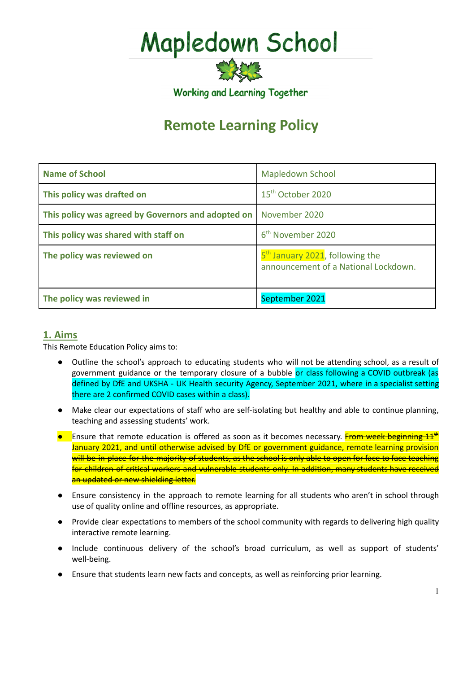# **Mapledown School**

Working and Learning Together

## **Remote Learning Policy**

| <b>Name of School</b>                              | <b>Mapledown School</b>                                                             |
|----------------------------------------------------|-------------------------------------------------------------------------------------|
| This policy was drafted on                         | 15 <sup>th</sup> October 2020                                                       |
| This policy was agreed by Governors and adopted on | November 2020                                                                       |
| This policy was shared with staff on               | 6 <sup>th</sup> November 2020                                                       |
| The policy was reviewed on                         | 5 <sup>th</sup> January 2021, following the<br>announcement of a National Lockdown. |
| The policy was reviewed in                         | September 2021                                                                      |

## **1. Aims**

This Remote Education Policy aims to:

- Outline the school's approach to educating students who will not be attending school, as a result of government guidance or the temporary closure of a bubble or class following a COVID outbreak (as defined by DfE and UKSHA - UK Health security Agency, September 2021, where in a specialist setting there are 2 confirmed COVID cases within a class).
- Make clear our expectations of staff who are self-isolating but healthy and able to continue planning, teaching and assessing students' work.
- Ensure that remote education is offered as soon as it becomes necessary. From week beginning 11<sup>th</sup> January 2021, and until otherwise advised by DfE or government guidance, remote learning provision will be in place for the majority of students, as the school is only able to open for face to face teaching for children of critical workers and vulnerable students only. In addition, many students have received an updated or new shielding letter.
- Ensure consistency in the approach to remote learning for all students who aren't in school through use of quality online and offline resources, as appropriate.
- Provide clear expectations to members of the school community with regards to delivering high quality interactive remote learning.
- Include continuous delivery of the school's broad curriculum, as well as support of students' well-being.
- Ensure that students learn new facts and concepts, as well as reinforcing prior learning.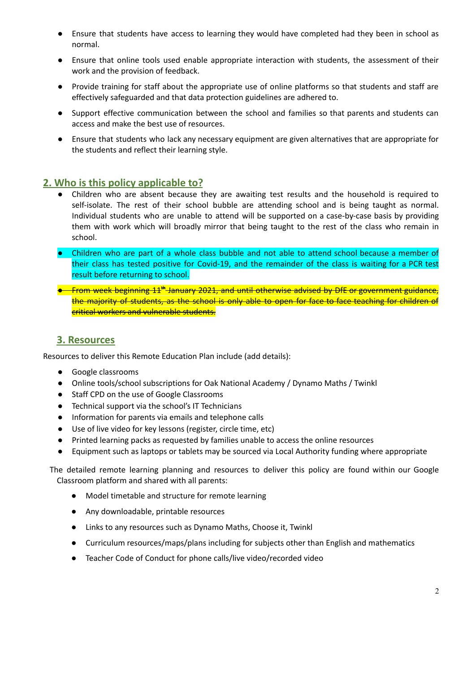- Ensure that students have access to learning they would have completed had they been in school as normal.
- Ensure that online tools used enable appropriate interaction with students, the assessment of their work and the provision of feedback.
- Provide training for staff about the appropriate use of online platforms so that students and staff are effectively safeguarded and that data protection guidelines are adhered to.
- Support effective communication between the school and families so that parents and students can access and make the best use of resources.
- Ensure that students who lack any necessary equipment are given alternatives that are appropriate for the students and reflect their learning style.

## **2. Who is this policy applicable to?**

- Children who are absent because they are awaiting test results and the household is required to self-isolate. The rest of their school bubble are attending school and is being taught as normal. Individual students who are unable to attend will be supported on a case-by-case basis by providing them with work which will broadly mirror that being taught to the rest of the class who remain in school.
- Children who are part of a whole class bubble and not able to attend school because a member of their class has tested positive for Covid-19, and the remainder of the class is waiting for a PCR test result before returning to school.
- From week beginning 11<sup>th</sup> January 2021, and until otherwise advised by DfE or government guidance, the majority of students, as the school is only able to open for face to face teaching for children of critical workers and vulnerable students.

## **3. Resources**

Resources to deliver this Remote Education Plan include (add details):

- Google classrooms
- Online tools/school subscriptions for Oak National Academy / Dynamo Maths / Twinkl
- Staff CPD on the use of Google Classrooms
- Technical support via the school's IT Technicians
- Information for parents via emails and telephone calls
- Use of live video for key lessons (register, circle time, etc)
- Printed learning packs as requested by families unable to access the online resources
- Equipment such as laptops or tablets may be sourced via Local Authority funding where appropriate

The detailed remote learning planning and resources to deliver this policy are found within our Google Classroom platform and shared with all parents:

- Model timetable and structure for remote learning
- Any downloadable, printable resources
- Links to any resources such as Dynamo Maths, Choose it, Twinkl
- Curriculum resources/maps/plans including for subjects other than English and mathematics
- Teacher Code of Conduct for phone calls/live video/recorded video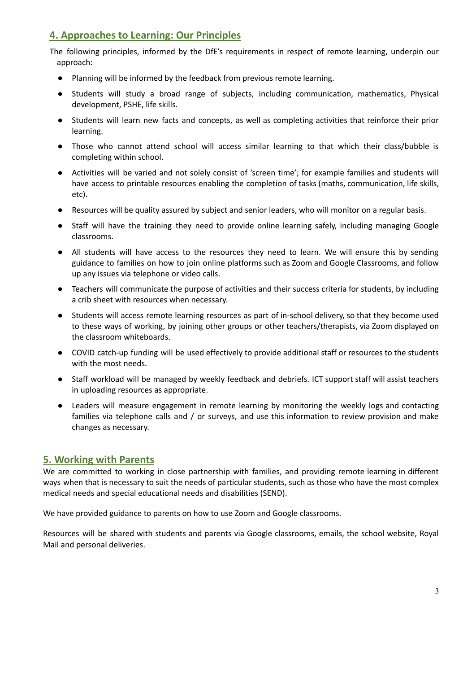## **4. Approaches to Learning: Our Principles**

The following principles, informed by the DfE's requirements in respect of remote learning, underpin our approach:

- Planning will be informed by the feedback from previous remote learning.
- Students will study a broad range of subjects, including communication, mathematics, Physical development, PSHE, life skills.
- Students will learn new facts and concepts, as well as completing activities that reinforce their prior learning.
- Those who cannot attend school will access similar learning to that which their class/bubble is completing within school.
- Activities will be varied and not solely consist of 'screen time'; for example families and students will have access to printable resources enabling the completion of tasks (maths, communication, life skills, etc).
- Resources will be quality assured by subject and senior leaders, who will monitor on a regular basis.
- Staff will have the training they need to provide online learning safely, including managing Google classrooms.
- All students will have access to the resources they need to learn. We will ensure this by sending guidance to families on how to join online platforms such as Zoom and Google Classrooms, and follow up any issues via telephone or video calls.
- Teachers will communicate the purpose of activities and their success criteria for students, by including a crib sheet with resources when necessary.
- Students will access remote learning resources as part of in-school delivery, so that they become used to these ways of working, by joining other groups or other teachers/therapists, via Zoom displayed on the classroom whiteboards.
- COVID catch-up funding will be used effectively to provide additional staff or resources to the students with the most needs.
- Staff workload will be managed by weekly feedback and debriefs. ICT support staff will assist teachers in uploading resources as appropriate.
- Leaders will measure engagement in remote learning by monitoring the weekly logs and contacting families via telephone calls and / or surveys, and use this information to review provision and make changes as necessary.

## **5. Working with Parents**

We are committed to working in close partnership with families, and providing remote learning in different ways when that is necessary to suit the needs of particular students, such as those who have the most complex medical needs and special educational needs and disabilities (SEND).

We have provided guidance to parents on how to use Zoom and Google classrooms.

Resources will be shared with students and parents via Google classrooms, emails, the school website, Royal Mail and personal deliveries.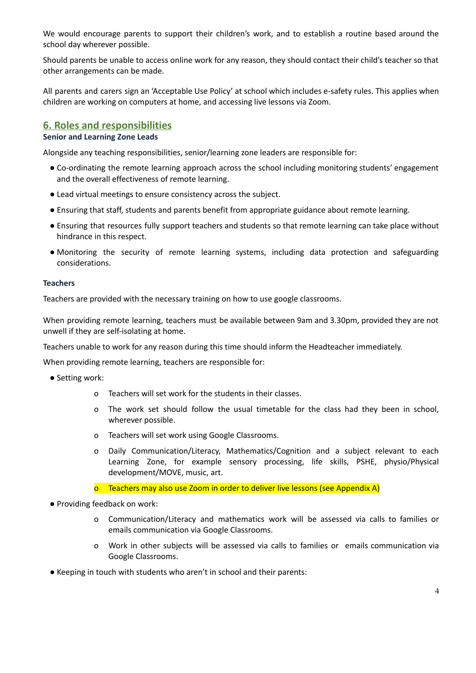We would encourage parents to support their children's work, and to establish a routine based around the school day wherever possible.

Should parents be unable to access online work for any reason, they should contact their child's teacher so that other arrangements can be made.

All parents and carers sign an 'Acceptable Use Policy' at school which includes e-safety rules. This applies when children are working on computers at home, and accessing live lessons via Zoom.

## **6. Roles and responsibilities**

## **Senior and Learning Zone Leads**

Alongside any teaching responsibilities, senior/learning zone leaders are responsible for:

- Co-ordinating the remote learning approach across the school including monitoring students' engagement and the overall effectiveness of remote learning.
- Lead virtual meetings to ensure consistency across the subject.
- Ensuring that staff, students and parents benefit from appropriate guidance about remote learning.
- Ensuring that resources fully support teachers and students so that remote learning can take place without hindrance in this respect.
- Monitoring the security of remote learning systems, including data protection and safeguarding considerations.

#### **Teachers**

Teachers are provided with the necessary training on how to use google classrooms.

When providing remote learning, teachers must be available between 9am and 3.30pm, provided they are not unwell if they are self-isolating at home.

Teachers unable to work for any reason during this time should inform the Headteacher immediately.

When providing remote learning, teachers are responsible for:

- Setting work:
	- o Teachers will set work for the students in their classes.
	- o The work set should follow the usual timetable for the class had they been in school, wherever possible.
	- o Teachers will set work using Google Classrooms.
	- o Daily Communication/Literacy, Mathematics/Cognition and a subject relevant to each Learning Zone, for example sensory processing, life skills, PSHE, physio/Physical development/MOVE, music, art.
	- o Teachers may also use Zoom in order to deliver live lessons (see Appendix A)
- Providing feedback on work:
	- o Communication/Literacy and mathematics work will be assessed via calls to families or emails communication via Google Classrooms.
	- o Work in other subjects will be assessed via calls to families or emails communication via Google Classrooms.
- Keeping in touch with students who aren't in school and their parents: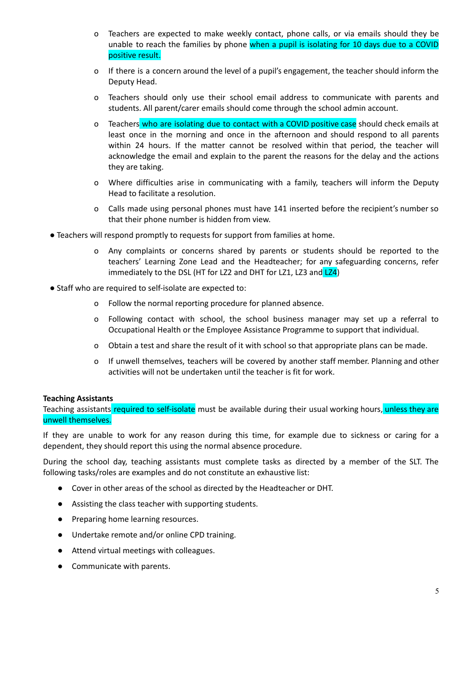- o Teachers are expected to make weekly contact, phone calls, or via emails should they be unable to reach the families by phone when a pupil is isolating for 10 days due to a COVID positive result.
- o If there is a concern around the level of a pupil's engagement, the teacher should inform the Deputy Head.
- o Teachers should only use their school email address to communicate with parents and students. All parent/carer emails should come through the school admin account.
- o Teachers who are isolating due to contact with a COVID positive case should check emails at least once in the morning and once in the afternoon and should respond to all parents within 24 hours. If the matter cannot be resolved within that period, the teacher will acknowledge the email and explain to the parent the reasons for the delay and the actions they are taking.
- o Where difficulties arise in communicating with a family, teachers will inform the Deputy Head to facilitate a resolution.
- o Calls made using personal phones must have 141 inserted before the recipient's number so that their phone number is hidden from view.
- Teachers will respond promptly to requests for support from families at home.
	- o Any complaints or concerns shared by parents or students should be reported to the teachers' Learning Zone Lead and the Headteacher; for any safeguarding concerns, refer immediately to the DSL (HT for LZ2 and DHT for LZ1, LZ3 and LZ4)
- Staff who are required to self-isolate are expected to:
	- o Follow the normal reporting procedure for planned absence.
	- o Following contact with school, the school business manager may set up a referral to Occupational Health or the Employee Assistance Programme to support that individual.
	- o Obtain a test and share the result of it with school so that appropriate plans can be made.
	- o If unwell themselves, teachers will be covered by another staff member. Planning and other activities will not be undertaken until the teacher is fit for work.

#### **Teaching Assistants**

Teaching assistants required to self-isolate must be available during their usual working hours, unless they are unwell themselves.

If they are unable to work for any reason during this time, for example due to sickness or caring for a dependent, they should report this using the normal absence procedure.

During the school day, teaching assistants must complete tasks as directed by a member of the SLT. The following tasks/roles are examples and do not constitute an exhaustive list:

- Cover in other areas of the school as directed by the Headteacher or DHT.
- Assisting the class teacher with supporting students.
- Preparing home learning resources.
- Undertake remote and/or online CPD training.
- Attend virtual meetings with colleagues.
- Communicate with parents.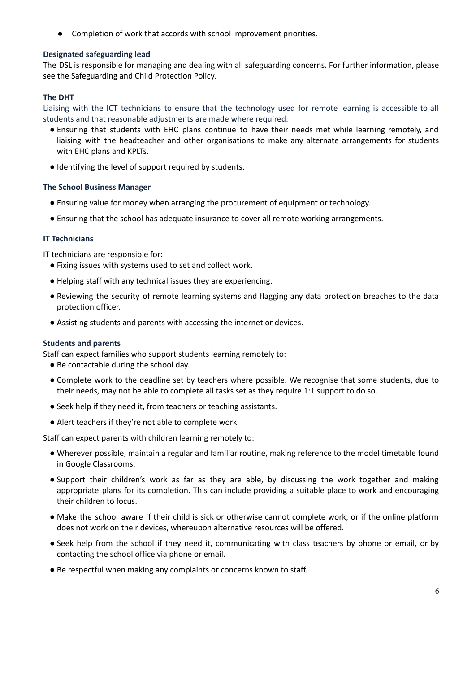● Completion of work that accords with school improvement priorities.

#### **Designated safeguarding lead**

The DSL is responsible for managing and dealing with all safeguarding concerns. For further information, please see the Safeguarding and Child Protection Policy.

## **The DHT**

Liaising with the ICT technicians to ensure that the technology used for remote learning is accessible to all students and that reasonable adjustments are made where required.

- Ensuring that students with EHC plans continue to have their needs met while learning remotely, and liaising with the headteacher and other organisations to make any alternate arrangements for students with EHC plans and KPLTs.
- **●** Identifying the level of support required by students.

#### **The School Business Manager**

- Ensuring value for money when arranging the procurement of equipment or technology.
- Ensuring that the school has adequate insurance to cover all remote working arrangements.

#### **IT Technicians**

IT technicians are responsible for:

- Fixing issues with systems used to set and collect work.
- Helping staff with any technical issues they are experiencing.
- Reviewing the security of remote learning systems and flagging any data protection breaches to the data protection officer.
- Assisting students and parents with accessing the internet or devices.

#### **Students and parents**

Staff can expect families who support students learning remotely to:

- Be contactable during the school day.
- Complete work to the deadline set by teachers where possible. We recognise that some students, due to their needs, may not be able to complete all tasks set as they require 1:1 support to do so.
- Seek help if they need it, from teachers or teaching assistants.
- Alert teachers if they're not able to complete work.

Staff can expect parents with children learning remotely to:

- Wherever possible, maintain a regular and familiar routine, making reference to the model timetable found in Google Classrooms.
- Support their children's work as far as they are able, by discussing the work together and making appropriate plans for its completion. This can include providing a suitable place to work and encouraging their children to focus.
- Make the school aware if their child is sick or otherwise cannot complete work, or if the online platform does not work on their devices, whereupon alternative resources will be offered.
- Seek help from the school if they need it, communicating with class teachers by phone or email, or by contacting the school office via phone or email.
- Be respectful when making any complaints or concerns known to staff.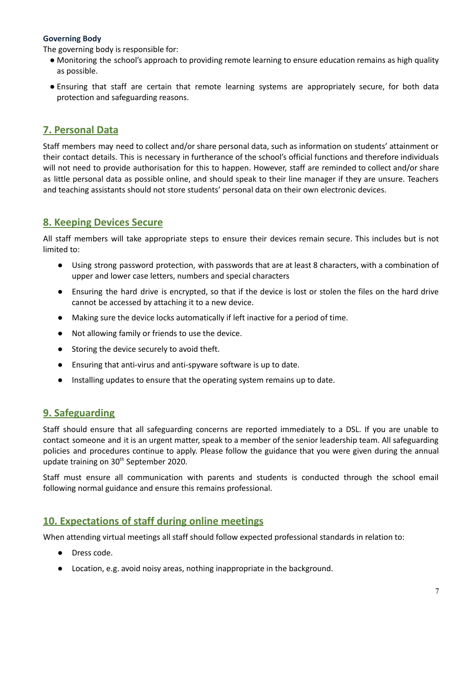## **Governing Body**

The governing body is responsible for:

- Monitoring the school's approach to providing remote learning to ensure education remains as high quality as possible.
- Ensuring that staff are certain that remote learning systems are appropriately secure, for both data protection and safeguarding reasons.

## **7. Personal Data**

Staff members may need to collect and/or share personal data, such as information on students' attainment or their contact details. This is necessary in furtherance of the school's official functions and therefore individuals will not need to provide authorisation for this to happen. However, staff are reminded to collect and/or share as little personal data as possible online, and should speak to their line manager if they are unsure. Teachers and teaching assistants should not store students' personal data on their own electronic devices.

## **8. Keeping Devices Secure**

All staff members will take appropriate steps to ensure their devices remain secure. This includes but is not limited to:

- Using strong password protection, with passwords that are at least 8 characters, with a combination of upper and lower case letters, numbers and special characters
- Ensuring the hard drive is encrypted, so that if the device is lost or stolen the files on the hard drive cannot be accessed by attaching it to a new device.
- Making sure the device locks automatically if left inactive for a period of time.
- Not allowing family or friends to use the device.
- Storing the device securely to avoid theft.
- Ensuring that anti-virus and anti-spyware software is up to date.
- Installing updates to ensure that the operating system remains up to date.

## **9. Safeguarding**

Staff should ensure that all safeguarding concerns are reported immediately to a DSL. If you are unable to contact someone and it is an urgent matter, speak to a member of the senior leadership team. All safeguarding policies and procedures continue to apply. Please follow the guidance that you were given during the annual update training on 30<sup>th</sup> September 2020.

Staff must ensure all communication with parents and students is conducted through the school email following normal guidance and ensure this remains professional.

## **10. Expectations of staff during online meetings**

When attending virtual meetings all staff should follow expected professional standards in relation to:

- **●** Dress code.
- **●** Location, e.g. avoid noisy areas, nothing inappropriate in the background.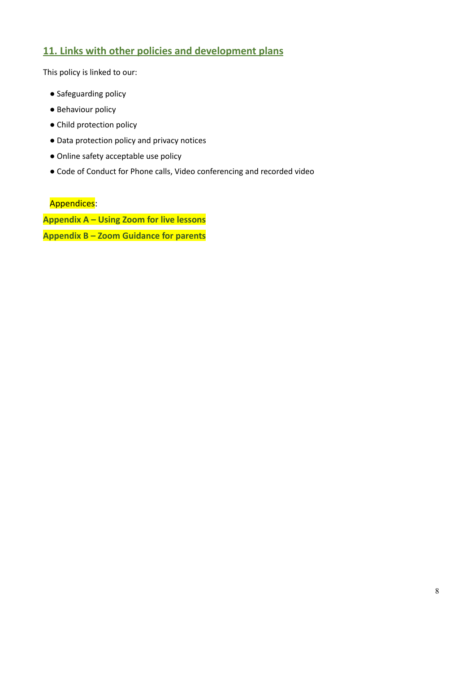## **11. Links with other policies and development plans**

This policy is linked to our:

- Safeguarding policy
- Behaviour policy
- Child protection policy
- Data protection policy and privacy notices
- Online safety acceptable use policy
- Code of Conduct for Phone calls, Video conferencing and recorded video

Appendices:

**Appendix A – Using Zoom for live lessons Appendix B – Zoom Guidance for parents**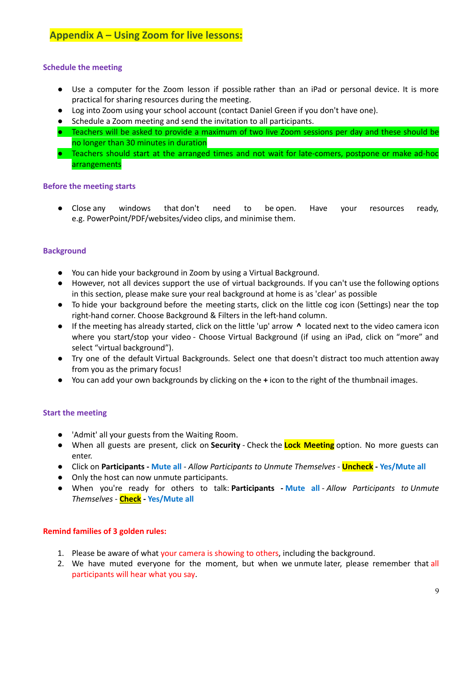## **Appendix A – Using Zoom for live lessons:**

## **Schedule the meeting**

- Use a computer for the Zoom lesson if possible rather than an iPad or personal device. It is more practical for sharing resources during the meeting.
- Log into Zoom using your school account (contact Daniel Green if you don't have one).
- Schedule a Zoom meeting and send the invitation to all participants.
- Teachers will be asked to provide a maximum of two live Zoom sessions per day and these should be no longer than 30 minutes in duration
- Teachers should start at the arranged times and not wait for late-comers, postpone or make ad-hoc arrangements

#### **Before the meeting starts**

● Close any windows that don't need to be open. Have your resources ready, e.g. PowerPoint/PDF/websites/video clips, and minimise them.

#### **Background**

- You can hide your background in Zoom by using a Virtual Background.
- However, not all devices support the use of virtual backgrounds. If you can't use the following options in this section, please make sure your real background at home is as 'clear' as possible
- To hide your background before the meeting starts, click on the little cog icon (Settings) near the top right-hand corner. Choose Background & Filters in the left-hand column.
- If the meeting has already started, click on the little 'up' arrow **^** located next to the video camera icon where you start/stop your video - Choose Virtual Background (if using an iPad, click on "more" and select "virtual background").
- Try one of the default Virtual Backgrounds. Select one that doesn't distract too much attention away from you as the primary focus!
- You can add your own backgrounds by clicking on the **+** icon to the right of the thumbnail images.

#### **Start the meeting**

- 'Admit' all your guests from the Waiting Room.
- When all guests are present, click on **Security** Check the **Lock Meeting** option. No more guests can enter.
- Click on **Participants - Mute all** *Allow Participants to Unmute Themselves* **Uncheck - Yes/Mute all**
- Only the host can now unmute participants.
- When you're ready for others to talk: **Participants - Mute all** *Allow Participants to Unmute Themselves* - **Check - Yes/Mute all**

#### **Remind families of 3 golden rules:**

- 1. Please be aware of what your camera is showing to others, including the background.
- 2. We have muted everyone for the moment, but when we unmute later, please remember that all participants will hear what you say.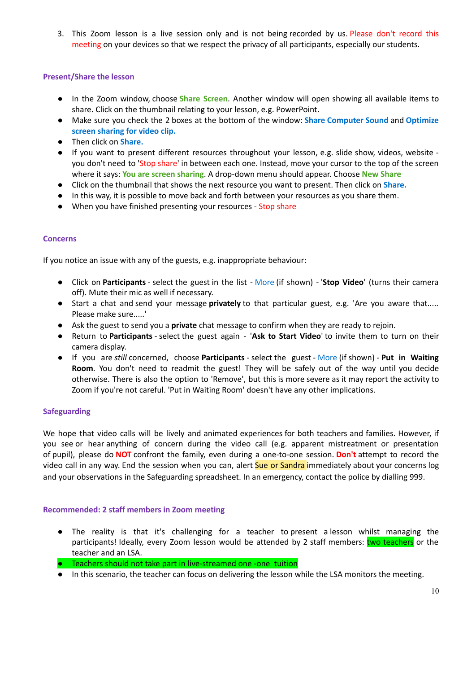3. This Zoom lesson is a live session only and is not being recorded by us. Please don't record this meeting on your devices so that we respect the privacy of all participants, especially our students.

## **Present/Share the lesson**

- In the Zoom window, choose **Share Screen**. Another window will open showing all available items to share. Click on the thumbnail relating to your lesson, e.g. PowerPoint.
- Make sure you check the 2 boxes at the bottom of the window: **Share Computer Sound** and **Optimize screen sharing for video clip.**
- Then click on **Share.**
- If you want to present different resources throughout your lesson, e.g. slide show, videos, website you don't need to 'Stop share' in between each one. Instead, move your cursor to the top of the screen where it says: **You are screen sharing**. A drop-down menu should appear. Choose **New Share**
- Click on the thumbnail that shows the next resource you want to present. Then click on **Share.**
- In this way, it is possible to move back and forth between your resources as you share them.
- When you have finished presenting your resources Stop share

## **Concerns**

If you notice an issue with any of the guests, e.g. inappropriate behaviour:

- Click on **Participants** select the guest in the list More (if shown) '**Stop Video**' (turns their camera off). Mute their mic as well if necessary.
- Start a chat and send your message **privately** to that particular guest, e.g. 'Are you aware that..... Please make sure.....'
- Ask the guest to send you a **private** chat message to confirm when they are ready to rejoin.
- Return to **Participants** select the guest again '**Ask to Start Video**' to invite them to turn on their camera display.
- If you are *still* concerned, choose **Participants** select the guest More (if shown) **Put in Waiting Room**. You don't need to readmit the guest! They will be safely out of the way until you decide otherwise. There is also the option to 'Remove', but this is more severe as it may report the activity to Zoom if you're not careful. 'Put in Waiting Room' doesn't have any other implications.

#### **Safeguarding**

We hope that video calls will be lively and animated experiences for both teachers and families. However, if you see or hear anything of concern during the video call (e.g. apparent mistreatment or presentation of pupil), please do **NOT** confront the family, even during a one-to-one session. **Don't** attempt to record the video call in any way. End the session when you can, alert Sue or Sandra immediately about your concerns log and your observations in the Safeguarding spreadsheet. In an emergency, contact the police by dialling 999.

## **Recommended: 2 staff members in Zoom meeting**

- The reality is that it's challenging for a teacher to present a lesson whilst managing the participants! Ideally, every Zoom lesson would be attended by 2 staff members: two teachers or the teacher and an LSA.
- Teachers should not take part in live-streamed one -one tuition
- In this scenario, the teacher can focus on delivering the lesson while the LSA monitors the meeting.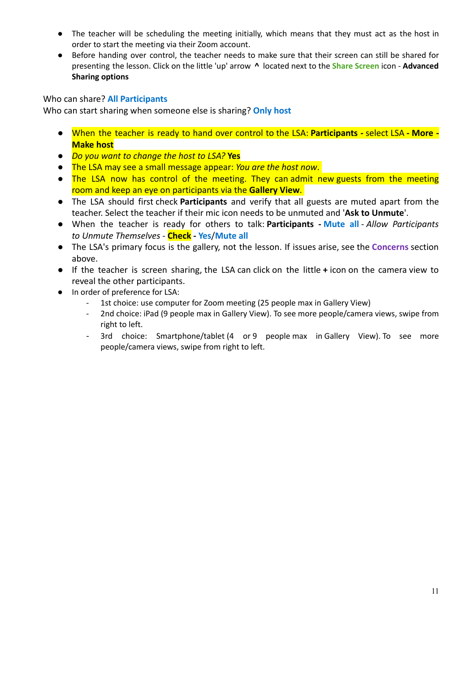- The teacher will be scheduling the meeting initially, which means that they must act as the host in order to start the meeting via their Zoom account.
- Before handing over control, the teacher needs to make sure that their screen can still be shared for presenting the lesson. Click on the little 'up' arrow **^** located next to the **Share Screen** icon - **Advanced Sharing options**

## Who can share? **All Participants**

Who can start sharing when someone else is sharing? **Only host**

- When the teacher is ready to hand over control to the LSA: **Participants -** select LSA **- More - Make host**
- *Do you want to change the host to LSA?* **Yes**
- The LSA may see a small message appear: *You are the host now*.
- The LSA now has control of the meeting. They can admit new guests from the meeting room and keep an eye on participants via the **Gallery View**.
- The LSA should first check **Participants** and verify that all guests are muted apart from the teacher. Select the teacher if their mic icon needs to be unmuted and '**Ask to Unmute**'.
- When the teacher is ready for others to talk: **Participants - Mute all** *Allow Participants to Unmute Themselves* - **Check - Yes**/**Mute all**
- The LSA's primary focus is the gallery, not the lesson. If issues arise, see the **Concerns** section above.
- If the teacher is screen sharing, the LSA can click on the little **+** icon on the camera view to reveal the other participants.
- In order of preference for LSA:
	- 1st choice: use computer for Zoom meeting (25 people max in Gallery View)
	- 2nd choice: iPad (9 people max in Gallery View). To see more people/camera views, swipe from right to left.
	- 3rd choice: Smartphone/tablet (4 or 9 people max in Gallery View). To see more people/camera views, swipe from right to left.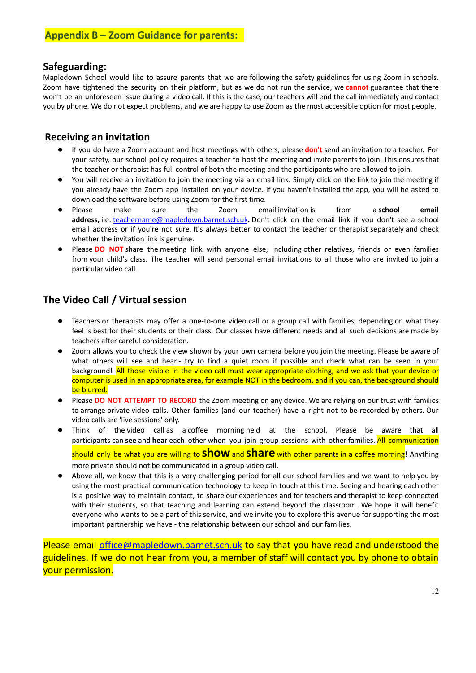## **Safeguarding:**

Mapledown School would like to assure parents that we are following the safety guidelines for using Zoom in schools. Zoom have tightened the security on their platform, but as we do not run the service, we **cannot** guarantee that there won't be an unforeseen issue during a video call. If this is the case, our teachers will end the call immediately and contact you by phone. We do not expect problems, and we are happy to use Zoom as the most accessible option for most people.

## **Receiving an invitation**

- If you do have a Zoom account and host meetings with others, please **don't** send an invitation to a teacher. For your safety, our school policy requires a teacher to host the meeting and invite parents to join. This ensures that the teacher or therapist has full control of both the meeting and the participants who are allowed to join.
- You will receive an invitation to join the meeting via an email link. Simply click on the link to join the meeting if you already have the Zoom app installed on your device. If you haven't installed the app, you will be asked to download the software before using Zoom for the first time.
- Please make sure the Zoom email invitation is from a **school email address,** i.e. [teachername@mapledown.barnet.sch.uk](mailto:teachername@mapledown.barnet.sch.uk)**.** Don't click on the email link if you don't see a school email address or if you're not sure. It's always better to contact the teacher or therapist separately and check whether the invitation link is genuine.
- Please **DO** NOT share the meeting link with anyone else, including other relatives, friends or even families from your child's class. The teacher will send personal email invitations to all those who are invited to join a particular video call.

## **The Video Call / Virtual session**

- Teachers or therapists may offer a one-to-one video call or a group call with families, depending on what they feel is best for their students or their class. Our classes have different needs and all such decisions are made by teachers after careful consideration.
- Zoom allows you to check the view shown by your own camera before you join the meeting. Please be aware of what others will see and hear - try to find a quiet room if possible and check what can be seen in your background! All those visible in the video call must wear appropriate clothing, and we ask that your device or computer is used in an appropriate area, for example NOT in the bedroom, and if you can, the background should be blurred.
- Please **DO NOT ATTEMPT TO RECORD** the Zoom meeting on any device. We are relying on our trust with families to arrange private video calls. Other families (and our teacher) have a right not to be recorded by others. Our video calls are 'live sessions' only.
- Think of the video call as a coffee morning held at the school. Please be aware that all participants can **see** and **hear** each other when you join group sessions with other families. All communication should only be what you are willing to **show**and **share** with other parents in <sup>a</sup> coffee morning! Anything more private should not be communicated in a group video call.
- Above all, we know that this is a very challenging period for all our school families and we want to help you by using the most practical communication technology to keep in touch at this time. Seeing and hearing each other is a positive way to maintain contact, to share our experiences and for teachers and therapist to keep connected with their students, so that teaching and learning can extend beyond the classroom. We hope it will benefit everyone who wants to be a part of this service, and we invite you to explore this avenue for supporting the most important partnership we have - the relationship between our school and our families.

Please email [office@mapledown.barnet.sch.uk](mailto:office@mapledown.barnet.sch.uk) to say that you have read and understood the guidelines. If we do not hear from you, a member of staff will contact you by phone to obtain your permission.